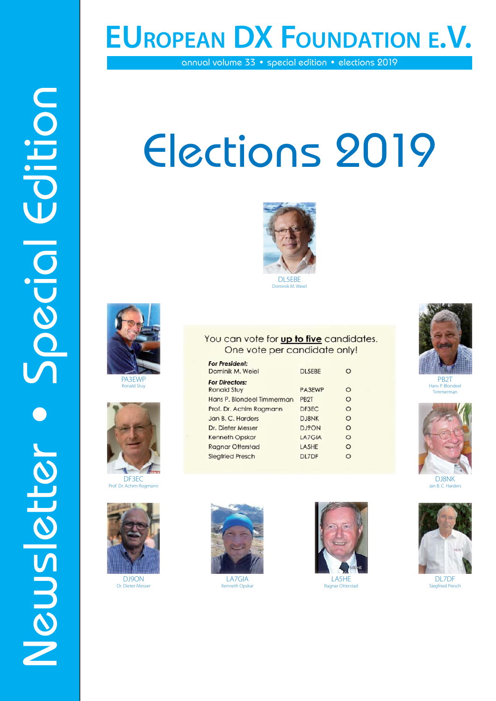# **EUROPEAN DX FOUNDATION E.V.**

annual volume 33 • special edition • elections 2019

# Newsletter • Special Edition<br>Edition 2019<br>Designation 2019<br>Designation 2019 Elections 2019





PA3EWP nald Stuy



DF3EC<br>Prof Dr Achim Ro **Achim Rogmann** 



DJ9ON Dr. Dieter Messe



LA7GIA Kenneth Opska



LA5HE Ragnar Otterstad



PB2T Hans P. Blondeel Timmerman



Jan B. C. Harde



DL7DF Siegfried Presch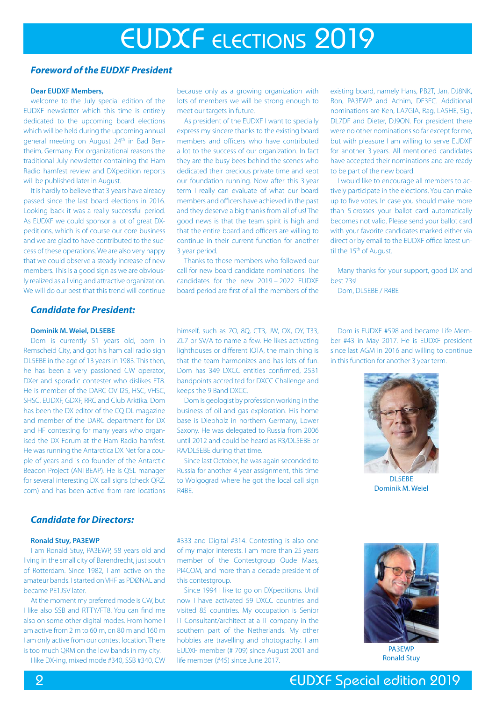# EUDXF ELECTIONS 2019

# *Foreword of the EUDXF President*

## **Dear EUDXF Members,**

welcome to the July special edition of the EUDXF newsletter which this time is entirely dedicated to the upcoming board elections which will be held during the upcoming annual general meeting on August 24<sup>th</sup> in Bad Bentheim, Germany. For organizational reasons the traditional July newsletter containing the Ham Radio hamfest review and DXpedition reports will be published later in August.

It is hardly to believe that 3 years have already passed since the last board elections in 2016. Looking back it was a really successful period. As EUDXF we could sponsor a lot of great DXpeditions, which is of course our core business and we are glad to have contributed to the success of these operations. We are also very happy that we could observe a steady increase of new members. This is a good sign as we are obviously realized as a living and attractive organization. We will do our best that this trend will continue

# *Candidate for President:*

# **Dominik M. Weiel, DL5EBE**

Dom is currently 51 years old, born in Remscheid City, and got his ham call radio sign DL5EBE in the age of 13 years in 1983. This then, he has been a very passioned CW operator, DXer and sporadic contester who dislikes FT8. He is member of the DARC OV I25, HSC, VHSC, SHSC, EUDXF, GDXF, RRC and Club Arktika. Dom has been the DX editor of the CQ DL magazine and member of the DARC department for DX and HF contesting for many years who organised the DX Forum at the Ham Radio hamfest. He was running the Antarctica DX Net for a couple of years and is co-founder of the Antarctic Beacon Project (ANTBEAP). He is QSL manager for several interesting DX call signs (check QRZ. com) and has been active from rare locations

# because only as a growing organization with lots of members we will be strong enough to meet our targets in future.

As president of the EUDXF I want to specially express my sincere thanks to the existing board members and officers who have contributed a lot to the success of our organization. In fact they are the busy bees behind the scenes who dedicated their precious private time and kept our foundation running. Now after this 3 year term I really can evaluate of what our board members and officers have achieved in the past and they deserve a big thanks from all of us! The good news is that the team spirit is high and that the entire board and officers are willing to continue in their current function for another 3 year period.

Thanks to those members who followed our call for new board candidate nominations. The candidates for the new 2019 – 2022 EUDXF board period are first of all the members of the

existing board, namely Hans, PB2T, Jan, DJ8NK, Ron, PA3EWP and Achim, DF3EC. Additional nominations are Ken, LA7GIA, Rag, LA5HE, Sigi, DL7DF and Dieter, DJ9ON. For president there were no other nominations so far except for me, but with pleasure I am willing to serve EUDXF for another 3 years. All mentioned candidates have accepted their nominations and are ready to be part of the new board.

I would like to encourage all members to actively participate in the elections. You can make up to five votes. In case you should make more than 5 crosses your ballot card automatically becomes not valid. Please send your ballot card with your favorite candidates marked either via direct or by email to the EUDXF office latest until the 15<sup>th</sup> of August.

Many thanks for your support, good DX and best 73s!

Dom, DL5FBE / R4BE

himself, such as 7O, 8Q, CT3, JW, OX, OY, T33, ZL7 or SV/A to name a few. He likes activating lighthouses or different IOTA, the main thing is that the team harmonizes and has lots of fun. Dom has 349 DXCC entities confirmed, 2531 bandpoints accredited for DXCC Challenge and keeps the 9 Band DXCC.

Dom is geologist by profession working in the business of oil and gas exploration. His home base is Diepholz in northern Germany, Lower Saxony. He was delegated to Russia from 2006 until 2012 and could be heard as R3/DL5EBE or RA/DL5EBE during that time.

Since last October, he was again seconded to Russia for another 4 year assignment, this time to Wolgograd where he got the local call sign R4BE.

Dom is EUDXF #598 and became Life Member #43 in May 2017. He is EUDXF president since last AGM in 2016 and willing to continue in this function for another 3 year term.



DL5EBE Dominik M. Weiel

# *Candidate for Directors:*

# **Ronald Stuy, PA3EWP**

I am Ronald Stuy, PA3EWP, 58 years old and living in the small city of Barendrecht, just south of Rotterdam. Since 1982, I am active on the amateur bands. I started on VHF as PDØNAL and became PE1JSV later.

At the moment my preferred mode is CW, but I like also SSB and RTTY/FT8. You can find me also on some other digital modes. From home I am active from 2 m to 60 m, on 80 m and 160 m I am only active from our contest location. There is too much QRM on the low bands in my city.

I like DX-ing, mixed mode #340, SSB #340, CW

#333 and Digital #314. Contesting is also one of my major interests. I am more than 25 years member of the Contestgroup Oude Maas, PI4COM, and more than a decade president of this contestgroup.

Since 1994 I like to go on DXpeditions. Until now I have activated 59 DXCC countries and visited 85 countries. My occupation is Senior IT Consultant/architect at a IT company in the southern part of the Netherlands. My other hobbies are travelling and photography. I am EUDXF member (# 709) since August 2001 and life member (#45) since June 2017.



Ronald Stuy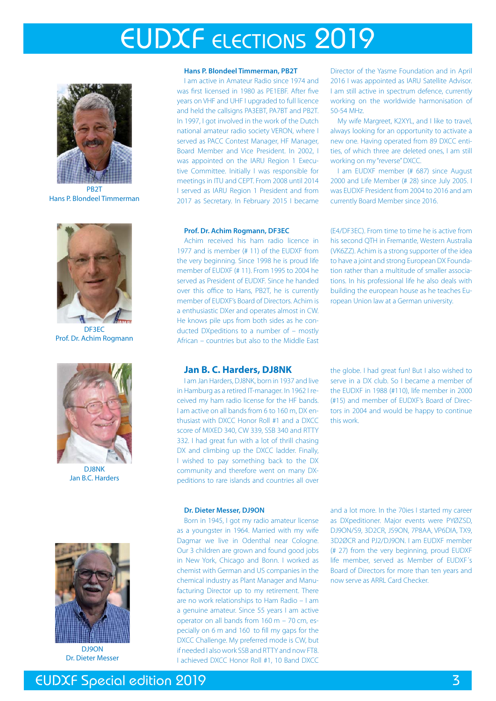# EUDXF ELECTIONS 2019



**PR2T** Hans P. Blondeel Timmerman



DF3EC Prof. Dr. Achim Rogmann



DJ8NK Jan B.C. Harders



Dr. Dieter Messer

# **Hans P. Blondeel Timmerman, PB2T**

I am active in Amateur Radio since 1974 and was first licensed in 1980 as PE1EBF. After five years on VHF and UHF I upgraded to full licence and held the callsigns PA3EBT, PA7BT and PB2T. In 1997, I got involved in the work of the Dutch national amateur radio society VERON, where I served as PACC Contest Manager, HF Manager, Board Member and Vice President. In 2002, I was appointed on the IARU Region 1 Executive Committee. Initially I was responsible for meetings in ITU and CEPT. From 2008 until 2014 I served as IARU Region 1 President and from 2017 as Secretary. In February 2015 I became

### **Prof. Dr. Achim Rogmann, DF3EC**

Achim received his ham radio licence in 1977 and is member (# 11) of the EUDXF from the very beginning. Since 1998 he is proud life member of EUDXF (# 11). From 1995 to 2004 he served as President of EUDXF. Since he handed over this office to Hans, PB2T, he is currently member of EUDXF's Board of Directors. Achim is a enthusiastic DXer and operates almost in CW. He knows pile ups from both sides as he conducted DXpeditions to a number of – mostly African – countries but also to the Middle East

Director of the Yasme Foundation and in April 2016 I was appointed as IARU Satellite Advisor. I am still active in spectrum defence, currently working on the worldwide harmonisation of 50-54 MHz.

My wife Margreet, K2XYL, and I like to travel, always looking for an opportunity to activate a new one. Having operated from 89 DXCC entities, of which three are deleted ones, I am still working on my "reverse" DXCC.

I am EUDXF member (# 687) since August 2000 and Life Member (# 28) since July 2005. I was EUDXF President from 2004 to 2016 and am currently Board Member since 2016.

(E4/DF3EC). From time to time he is active from his second QTH in Fremantle, Western Australia (VK6ZZ). Achim is a strong supporter of the idea to have a joint and strong European DX Foundation rather than a multitude of smaller associations. In his professional life he also deals with building the european house as he teaches European Union law at a German university.

# **Jan B. C. Harders, DJ8NK**

I am Jan Harders, DJ8NK, born in 1937 and live in Hamburg as a retired IT-manager. In 1962 I received my ham radio license for the HF bands. I am active on all bands from 6 to 160 m, DX enthusiast with DXCC Honor Roll #1 and a DXCC score of MIXED 340, CW 339, SSB 340 and RTTY 332. I had great fun with a lot of thrill chasing DX and climbing up the DXCC ladder. Finally, I wished to pay something back to the DX community and therefore went on many DXpeditions to rare islands and countries all over the globe. I had great fun! But I also wished to serve in a DX club. So I became a member of the EUDXF in 1988 (#110), life member in 2000 (#15) and member of EUDXF's Board of Directors in 2004 and would be happy to continue this work.

### **Dr. Dieter Messer, DJ9ON**

Born in 1945, I got my radio amateur license as a youngster in 1964. Married with my wife Dagmar we live in Odenthal near Cologne. Our 3 children are grown and found good jobs in New York, Chicago and Bonn. I worked as chemist with German and US companies in the chemical industry as Plant Manager and Manufacturing Director up to my retirement. There are no work relationships to Ham Radio – I am a genuine amateur. Since 55 years I am active operator on all bands from 160 m – 70 cm, especially on 6 m and 160 to fill my gaps for the DXCC Challenge. My preferred mode is CW, but if needed I also work SSB and RTTY and now FT8. I achieved DXCC Honor Roll #1, 10 Band DXCC

and a lot more. In the 70ies I started my career as DXpeditioner. Major events were PYØZSD, DJ9ON/S9, 3D2CR, J59ON, 7P8AA, VP6DIA, TX9, 3D2ØCR and PJ2/DJ9ON. I am EUDXF member (# 27) from the very beginning, proud EUDXF life member, served as Member of EUDXF´s Board of Directors for more than ten years and now serve as ARRL Card Checker.